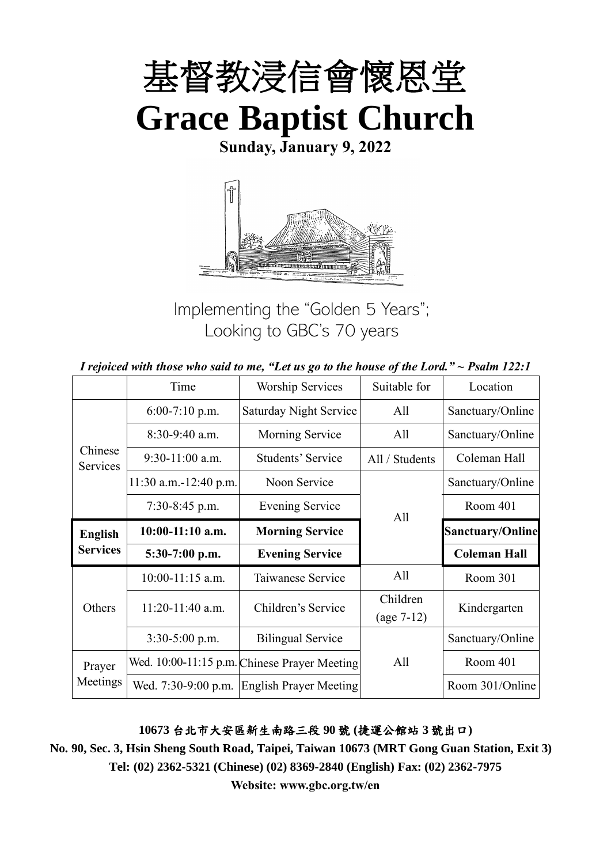

**Sunday, January 9, 2022**



Implementing the "Golden 5 Years"; Looking to GBC's 70 years

|  | I rejoiced with those who said to me, "Let us go to the house of the Lord." $\sim$ Psalm 122:1 |
|--|------------------------------------------------------------------------------------------------|
|--|------------------------------------------------------------------------------------------------|

|                     | Time                                                     | <b>Worship Services</b><br>Suitable for      |                          | Location                |
|---------------------|----------------------------------------------------------|----------------------------------------------|--------------------------|-------------------------|
|                     | <b>Saturday Night Service</b><br>All<br>$6:00-7:10$ p.m. |                                              | Sanctuary/Online         |                         |
|                     | 8:30-9:40 a.m.                                           | Morning Service                              | All                      | Sanctuary/Online        |
| Chinese<br>Services | $9:30-11:00$ a.m.                                        | Students' Service                            | All / Students           | Coleman Hall            |
|                     | $11:30$ a.m.-12:40 p.m.                                  | Noon Service                                 |                          | Sanctuary/Online        |
|                     | $7:30-8:45$ p.m.                                         | <b>Evening Service</b>                       | All                      | Room 401                |
| <b>English</b>      | $10:00-11:10$ a.m.                                       | <b>Morning Service</b>                       |                          | <b>Sanctuary/Online</b> |
| <b>Services</b>     | 5:30-7:00 p.m.                                           | <b>Evening Service</b>                       |                          | <b>Coleman Hall</b>     |
|                     | $10:00-11:15$ a.m.                                       | Taiwanese Service                            | All                      | Room 301                |
| Others              | 11:20-11:40 a.m.                                         | Children's Service                           | Children<br>$(age 7-12)$ | Kindergarten            |
|                     | $3:30-5:00$ p.m.                                         | <b>Bilingual Service</b>                     |                          | Sanctuary/Online        |
| Prayer              |                                                          | Wed. 10:00-11:15 p.m. Chinese Prayer Meeting | All                      | Room 401                |
| Meetings            | Wed. 7:30-9:00 p.m.                                      | <b>English Prayer Meeting</b>                |                          | Room 301/Online         |

# **10673** 台北市大安區新生南路三段 **90** 號 **(**捷運公館站 **3** 號出口**)**

**No. 90, Sec. 3, Hsin Sheng South Road, Taipei, Taiwan 10673 (MRT Gong Guan Station, Exit 3) Tel: (02) 2362-5321 (Chinese) (02) 8369-2840 (English) Fax: (02) 2362-7975**

**Website: www.gbc.org.tw/en**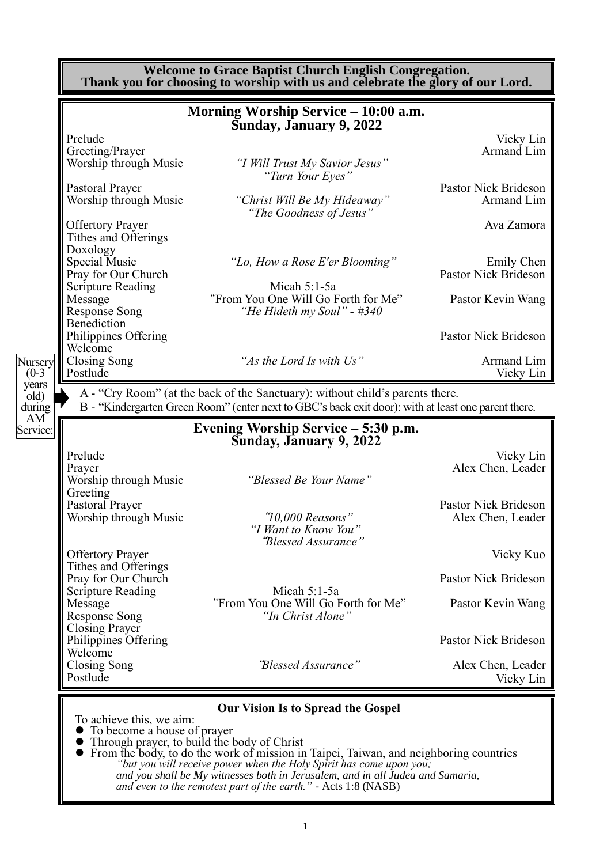|                               |                                                             | <b>Welcome to Grace Baptist Church English Congregation.</b><br>Thank you for choosing to worship with us and celebrate the glory of our Lord.                                       |                                           |
|-------------------------------|-------------------------------------------------------------|--------------------------------------------------------------------------------------------------------------------------------------------------------------------------------------|-------------------------------------------|
|                               |                                                             | Morning Worship Service - 10:00 a.m.<br><b>Sunday, January 9, 2022</b>                                                                                                               |                                           |
|                               | Prelude<br>Greeting/Prayer<br>Worship through Music         | "I Will Trust My Savior Jesus"<br>"Turn Your Eyes"                                                                                                                                   | Vicky Lin<br>Armand Lim                   |
|                               | Pastoral Prayer<br>Worship through Music                    | "Christ Will Be My Hideaway"<br>"The Goodness of Jesus"                                                                                                                              | Pastor Nick Brideson<br>Armand Lim        |
|                               | <b>Offertory Prayer</b><br>Tithes and Offerings<br>Doxology |                                                                                                                                                                                      | Ava Zamora                                |
|                               | Special Music<br>Pray for Our Church                        | "Lo, How a Rose E'er Blooming"                                                                                                                                                       | Emily Chen<br>Pastor Nick Brideson        |
|                               | <b>Scripture Reading</b><br>Message<br><b>Response Song</b> | Micah 5:1-5a<br>"From You One Will Go Forth for Me"<br>"He Hideth my Soul" - #340                                                                                                    | Pastor Kevin Wang                         |
|                               | Benediction<br>Philippines Offering<br>Welcome              |                                                                                                                                                                                      | Pastor Nick Brideson                      |
| Nursery<br>$(0-3)$            | Closing Song<br>Postlude                                    | "As the Lord Is with Us"                                                                                                                                                             | Armand Lim<br>Vicky Lin                   |
| years<br>old)<br>during<br>AM |                                                             | A - "Cry Room" (at the back of the Sanctuary): without child's parents there.<br>B - "Kindergarten Green Room" (enter next to GBC's back exit door): with at least one parent there. |                                           |
| Service:                      |                                                             | Evening Worship Service - 5:30 p.m.<br>Sunday, January 9, 2022                                                                                                                       |                                           |
|                               | Prelude<br>Prayer<br>Worship through Music<br>Greeting      | "Blessed Be Your Name"                                                                                                                                                               | Vicky Lin<br>Alex Chen, Leader            |
|                               | Pastoral Prayer<br>Worship through Music                    | " $10,000$ Reasons"<br>"I Want to Know You"<br>"Blessed Assurance"                                                                                                                   | Pastor Nick Brideson<br>Alex Chen, Leader |
|                               | <b>Offertory Prayer</b><br>Tithes and Offerings             |                                                                                                                                                                                      | Vicky Kuo                                 |
|                               | Pray for Our Church<br><b>Scripture Reading</b>             | Micah $5:1-5a$                                                                                                                                                                       | Pastor Nick Brideson                      |
|                               | Message<br><b>Response Song</b><br><b>Closing Prayer</b>    | "From You One Will Go Forth for Me"<br>"In Christ Alone"                                                                                                                             | Pastor Kevin Wang                         |
|                               | Philippines Offering<br>Welcome                             |                                                                                                                                                                                      | Pastor Nick Brideson                      |
|                               | Closing Song<br>Postlude                                    | "Blessed Assurance"                                                                                                                                                                  | Alex Chen, Leader<br>Vicky Lin            |
|                               |                                                             | <b>Our Vision Is to Spread the Gospel</b>                                                                                                                                            |                                           |
|                               | To achieve this, we aim:<br>To become a house of prayer     | Through prayer, to build the body of Christ<br>• From the body, to do the work of mission in Taipei, Taiwan, and neighboring countries                                               |                                           |

*"but you will receive power when the Holy Spirit has come upon you; and you shall be My witnesses both in Jerusalem, and in all Judea and Samaria, and even to the remotest part of the earth." -* Acts 1:8 (NASB)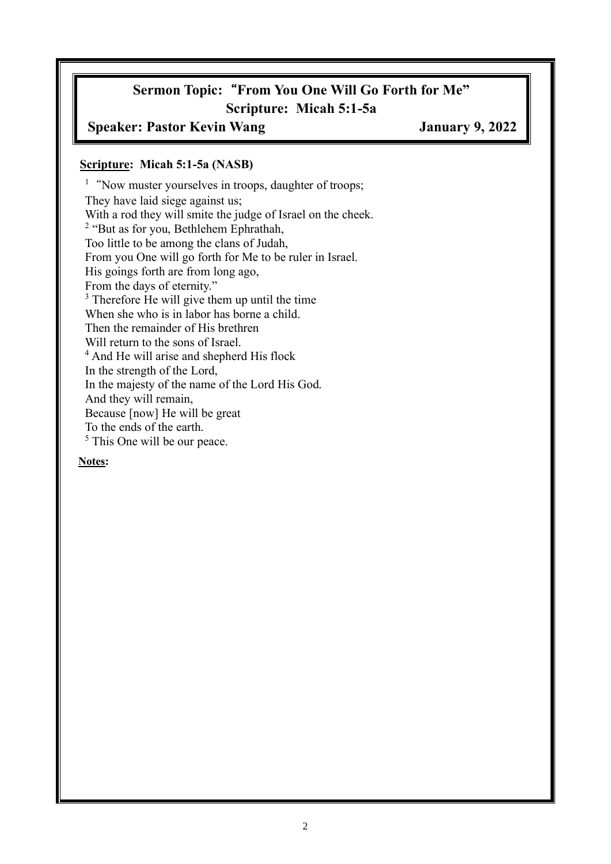# **Sermon Topic:**"**From You One Will Go Forth for Me" Scripture: Micah 5:1-5a**

## **Speaker: Pastor Kevin Wang January 9, 2022**

#### **Scripture: Micah 5:1-5a (NASB)**

<sup>1</sup> "Now muster yourselves in troops, daughter of troops; They have laid siege against us; With a rod they will smite the judge of Israel on the cheek. <sup>2</sup> "But as for you, Bethlehem Ephrathah, Too little to be among the clans of Judah, From you One will go forth for Me to be ruler in Israel. His goings forth are from long ago, From the days of eternity." <sup>3</sup> Therefore He will give them up until the time When she who is in labor has borne a child. Then the remainder of His brethren Will return to the sons of Israel. <sup>4</sup> And He will arise and shepherd His flock In the strength of the Lord, In the majesty of the name of the Lord His God. And they will remain, Because [now] He will be great To the ends of the earth. <sup>5</sup> This One will be our peace.

#### **Notes:**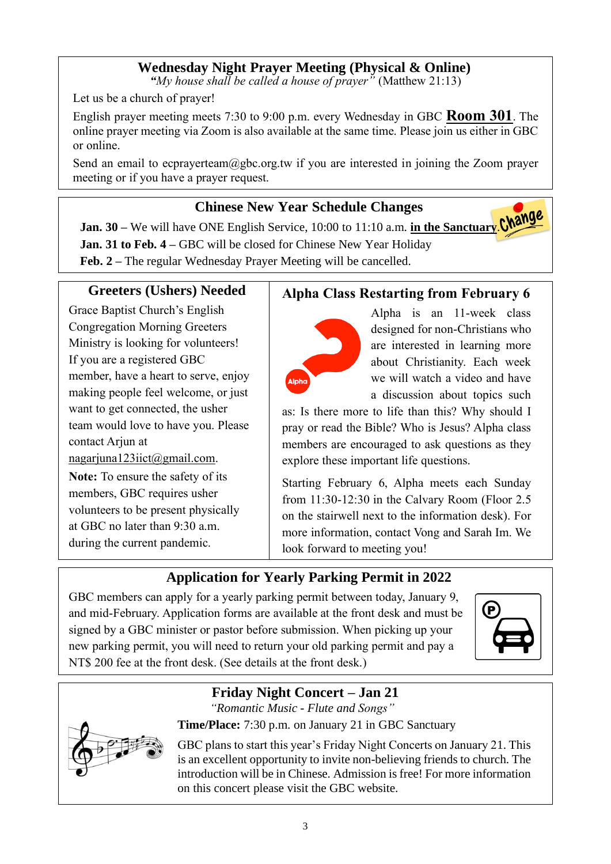# **Wednesday Night Prayer Meeting (Physical & Online)**

*"My house shall be called a house of prayer"* (Matthew 21:13)

Let us be a church of prayer!

English prayer meeting meets 7:30 to 9:00 p.m. every Wednesday in GBC **Room 301**. The online prayer meeting via Zoom is also available at the same time. Please join us either in GBC or online.

Send an email to ecprayerteam@gbc.org.tw if you are interested in joining the Zoom prayer meeting or if you have a prayer request.

# **Chinese New Year Schedule Changes**

**Jan. 30** – We will have ONE English Service, 10:00 to 11:10 a.m. **in the Sanctuary. Change Jan. 31 to Feb. 4 –** GBC will be closed for Chinese New Year Holiday **Feb. 2 –** The regular Wednesday Prayer Meeting will be cancelled.

# **Greeters (Ushers) Needed**

Grace Baptist Church's English Congregation Morning Greeters Ministry is looking for volunteers! If you are a registered GBC member, have a heart to serve, enjoy making people feel welcome, or just want to get connected, the usher team would love to have you. Please contact Arjun at

nagarjuna123iict@gmail.com.

**Note:** To ensure the safety of its members, GBC requires usher volunteers to be present physically at GBC no later than 9:30 a.m. during the current pandemic.

# **Alpha Class Restarting from February 6**



Alpha is an 11-week class designed for non-Christians who are interested in learning more about Christianity. Each week we will watch a video and have a discussion about topics such

as: Is there more to life than this? Why should I pray or read the Bible? Who is Jesus? Alpha class members are encouraged to ask questions as they explore these important life questions.

Starting February 6, Alpha meets each Sunday from 11:30-12:30 in the Calvary Room (Floor 2.5 on the stairwell next to the information desk). For more information, contact Vong and Sarah Im. We look forward to meeting you!

# **Application for Yearly Parking Permit in 2022**

GBC members can apply for a yearly parking permit between today, January 9, and mid-February. Application forms are available at the front desk and must be signed by a GBC minister or pastor before submission. When picking up your new parking permit, you will need to return your old parking permit and pay a NT\$ 200 fee at the front desk. (See details at the front desk.)



## **Friday Night Concert – Jan 21** *"Romantic Music - Flute and Songs"*

**Time/Place:** 7:30 p.m. on January 21 in GBC Sanctuary

GBC plans to start this year's Friday Night Concerts on January 21. This is an excellent opportunity to invite non-believing friends to church. The introduction will be in Chinese. Admission is free! For more information on this concert please visit the GBC website.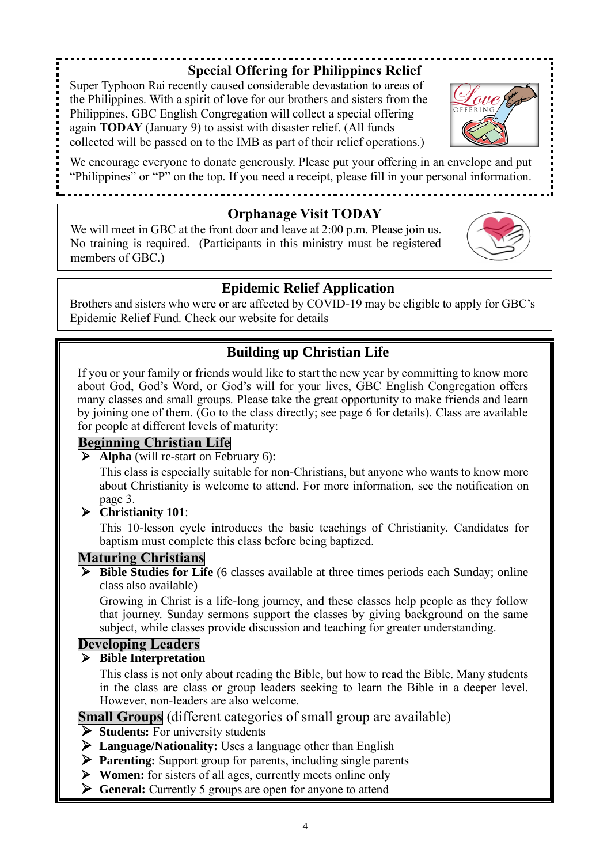# **Special Offering for Philippines Relief**

Super Typhoon Rai recently caused considerable devastation to areas of the Philippines. With a spirit of love for our brothers and sisters from the Philippines, GBC English Congregation will collect a special offering again **TODAY** (January 9) to assist with disaster relief. (All funds collected will be passed on to the IMB as part of their relief operations.)

We encourage everyone to donate generously. Please put your offering in an envelope and put "Philippines" or "P" on the top. If you need a receipt, please fill in your personal information.

......................................

## **Orphanage Visit TODAY**

We will meet in GBC at the front door and leave at 2:00 p.m. Please join us. No training is required. (Participants in this ministry must be registered members of GBC.)

# **Epidemic Relief Application**

Brothers and sisters who were or are affected by COVID-19 may be eligible to apply for GBC's Epidemic Relief Fund. Check our website for details

# **Building up Christian Life**

If you or your family or friends would like to start the new year by committing to know more about God, God's Word, or God's will for your lives, GBC English Congregation offers many classes and small groups. Please take the great opportunity to make friends and learn by joining one of them. (Go to the class directly; see page 6 for details). Class are available for people at different levels of maturity:

# **Beginning Christian Life**

➢ **Alpha** (will re-start on February 6):

This class is especially suitable for non-Christians, but anyone who wants to know more about Christianity is welcome to attend. For more information, see the notification on page 3.

# ➢ **Christianity 101**:

This 10-lesson cycle introduces the basic teachings of Christianity. Candidates for baptism must complete this class before being baptized.

# **Maturing Christians**

➢ **Bible Studies for Life** (6 classes available at three times periods each Sunday; online class also available)

Growing in Christ is a life-long journey, and these classes help people as they follow that journey. Sunday sermons support the classes by giving background on the same subject, while classes provide discussion and teaching for greater understanding.

# **Developing Leaders**

#### ➢ **Bible Interpretation**

This class is not only about reading the Bible, but how to read the Bible. Many students in the class are class or group leaders seeking to learn the Bible in a deeper level. However, non-leaders are also welcome.

**Small Groups** (different categories of small group are available)

- ➢ **Students:** For university students
- ➢ **Language/Nationality:** Uses a language other than English
- ➢ **Parenting:** Support group for parents, including single parents
- ➢ **Women:** for sisters of all ages, currently meets online only
- ➢ **General:** Currently 5 groups are open for anyone to attend



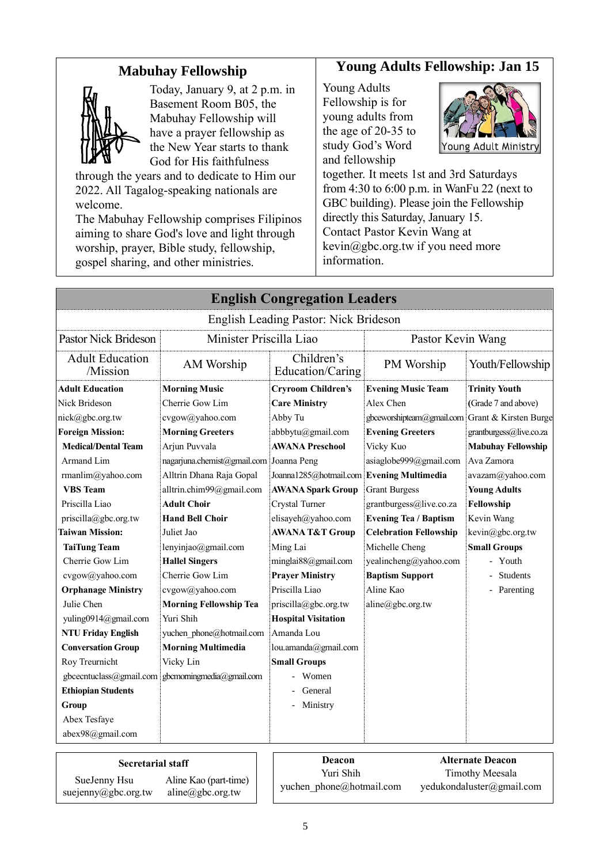# **Mabuhay Fellowship**



Today, January 9, at 2 p.m. in Basement Room B05, the Mabuhay Fellowship will have a prayer fellowship as the New Year starts to thank God for His faithfulness

through the years and to dedicate to Him our 2022. All Tagalog-speaking nationals are welcome.

The Mabuhay Fellowship comprises Filipinos aiming to share God's love and light through worship, prayer, Bible study, fellowship, gospel sharing, and other ministries.

## **Young Adults Fellowship: Jan 15**

Young Adults Fellowship is for young adults from the age of 20-35 to study God's Word and fellowship



together. It meets 1st and 3rd Saturdays from 4:30 to 6:00 p.m. in WanFu 22 (next to GBC building). Please join the Fellowship directly this Saturday, January 15. Contact Pastor Kevin Wang at kevin@gbc.org.tw if you need more information.

|                                    |                                                  | <b>English Congregation Leaders</b>       |                                                 |                           |
|------------------------------------|--------------------------------------------------|-------------------------------------------|-------------------------------------------------|---------------------------|
|                                    |                                                  | English Leading Pastor: Nick Brideson     |                                                 |                           |
| <b>Pastor Nick Brideson</b>        | Minister Priscilla Liao                          |                                           | Pastor Kevin Wang                               |                           |
| <b>Adult Education</b><br>/Mission | AM Worship                                       | Children's<br>Education/Caring            | PM Worship                                      | Youth/Fellowship          |
| <b>Adult Education</b>             | <b>Morning Music</b>                             | <b>Cryroom Children's</b>                 | <b>Evening Music Team</b>                       | <b>Trinity Youth</b>      |
| Nick Brideson                      | Cherrie Gow Lim                                  | <b>Care Ministry</b>                      | Alex Chen                                       | (Grade 7 and above)       |
| nick@gbc.org.tw                    | cvgow@yahoo.com                                  | Abby Tu                                   | gbceworshipteam@gmail.com Grant & Kirsten Burge |                           |
| <b>Foreign Mission:</b>            | <b>Morning Greeters</b>                          | abbbytu@gmail.com                         | <b>Evening Greeters</b>                         | grantburgess@live.co.za   |
| <b>Medical/Dental Team</b>         | Arjun Puvvala                                    | <b>AWANA Preschool</b>                    | Vicky Kuo                                       | <b>Mabuhay Fellowship</b> |
| Armand Lim                         | nagarjuna.chemist@gmail.com Joanna Peng          |                                           | asiaglobe999@gmail.com                          | Ava Zamora                |
| rmanlim@yahoo.com                  | Alltrin Dhana Raja Gopal                         | Joanna1285@hotmail.com Evening Multimedia |                                                 | avazam@yahoo.com          |
| <b>VBS</b> Team                    | alltrin.chim99@gmail.com                         | <b>AWANA Spark Group</b>                  | <b>Grant Burgess</b>                            | <b>Young Adults</b>       |
| Priscilla Liao                     | <b>Adult Choir</b>                               | Crystal Turner                            | grantburgess@live.co.za                         | Fellowship                |
| priscilla@gbc.org.tw               | <b>Hand Bell Choir</b>                           | elisayeh@yahoo.com                        | <b>Evening Tea / Baptism</b>                    | Kevin Wang                |
| <b>Taiwan Mission:</b>             | Juliet Jao                                       | <b>AWANA T&amp;T Group</b>                | <b>Celebration Fellowship</b>                   | kevin@gbc.org.tw          |
| <b>TaiTung Team</b>                | lenyinjao@gmail.com                              | Ming Lai                                  | Michelle Cheng                                  | <b>Small Groups</b>       |
| Cherrie Gow Lim                    | <b>Hallel Singers</b>                            | minglai88@gmail.com                       | yealincheng@yahoo.com                           | - Youth                   |
| cvgow@yahoo.com                    | Cherrie Gow Lim                                  | <b>Prayer Ministry</b>                    | <b>Baptism Support</b>                          | Students                  |
| <b>Orphanage Ministry</b>          | cvgow@yahoo.com                                  | Priscilla Liao                            | Aline Kao                                       | - Parenting               |
| Julie Chen                         | <b>Morning Fellowship Tea</b>                    | priscilla@gbc.org.tw                      | aline@gbc.org.tw                                |                           |
| yuling0914@gmail.com               | Yuri Shih                                        | <b>Hospital Visitation</b>                |                                                 |                           |
| <b>NTU Friday English</b>          | yuchen phone@hotmail.com                         | Amanda Lou                                |                                                 |                           |
| <b>Conversation Group</b>          | <b>Morning Multimedia</b>                        | lou.amanda@gmail.com                      |                                                 |                           |
| Roy Treurnicht                     | Vicky Lin                                        | <b>Small Groups</b>                       |                                                 |                           |
|                                    | gbcecntuclass@gmail.com gbcmomingmedia@gmail.com | Women                                     |                                                 |                           |
| <b>Ethiopian Students</b>          |                                                  | General                                   |                                                 |                           |
| Group                              |                                                  | Ministry                                  |                                                 |                           |
| Abex Tesfaye                       |                                                  |                                           |                                                 |                           |
| abex98@gmail.com                   |                                                  |                                           |                                                 |                           |

| SueJenny Hsu        | А |
|---------------------|---|
| suejenny@gbc.org.tw | a |

Aline Kao (part-time)  $line(\omega gbc.org.tw)$ 

**Secretarial staff Deacon** Yuri Shih SueJenny Hsu Aline Kao (part-time) yuchen phone@hotmail.com [yedukondaluster@gmail.com](mailto:yedukondaluster@gmail.com)

**Alternate Deacon** Timothy Meesala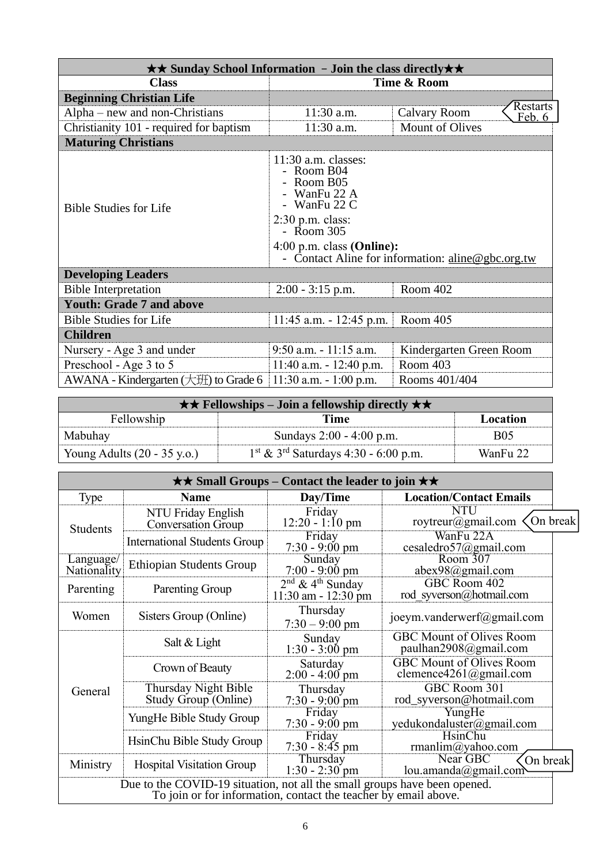| $\star\star$ Sunday School Information - Join the class directly $\star\star$ |                                                                                                                                                            |                                                         |  |  |
|-------------------------------------------------------------------------------|------------------------------------------------------------------------------------------------------------------------------------------------------------|---------------------------------------------------------|--|--|
| <b>Class</b>                                                                  | Time & Room                                                                                                                                                |                                                         |  |  |
| <b>Beginning Christian Life</b>                                               |                                                                                                                                                            |                                                         |  |  |
| Alpha – new and non-Christians                                                | 11:30 a.m.                                                                                                                                                 | <b>Restarts</b><br><b>Calvary Room</b><br><u>Feb. 6</u> |  |  |
| Christianity 101 - required for baptism                                       | 11:30 a.m.                                                                                                                                                 | Mount of Olives                                         |  |  |
| <b>Maturing Christians</b>                                                    |                                                                                                                                                            |                                                         |  |  |
| <b>Bible Studies for Life</b>                                                 | $11:30$ a.m. classes:<br>- Room B04<br>Room B05<br>WanFu 22 A<br>- WanFu $22 \text{ C}$<br>$2:30$ p.m. class:<br>- Room 305<br>$4:00$ p.m. class (Online): | - Contact Aline for information: aline@gbc.org.tw       |  |  |
| <b>Developing Leaders</b>                                                     |                                                                                                                                                            |                                                         |  |  |
| <b>Bible Interpretation</b>                                                   | Room 402<br>$2:00 - 3:15$ p.m.                                                                                                                             |                                                         |  |  |
| <b>Youth: Grade 7 and above</b>                                               |                                                                                                                                                            |                                                         |  |  |
| <b>Bible Studies for Life</b>                                                 | $11:45$ a.m. - 12:45 p.m.                                                                                                                                  | Room 405                                                |  |  |
| <b>Children</b>                                                               |                                                                                                                                                            |                                                         |  |  |
| Nursery - Age 3 and under                                                     | $9:50$ a.m. $-11:15$ a.m.                                                                                                                                  | Kindergarten Green Room                                 |  |  |
| Preschool - Age 3 to 5                                                        | $11:40$ a.m. $-12:40$ p.m.                                                                                                                                 | Room 403                                                |  |  |
| AWANA - Kindergarten $(\pm 1)$ to Grade 6                                     | 11:30 a.m. $-1:00$ p.m.                                                                                                                                    | Rooms 401/404                                           |  |  |

| $\star \star$ Fellowships – Join a fellowship directly $\star \star$ |                                                    |            |
|----------------------------------------------------------------------|----------------------------------------------------|------------|
| Fellowship                                                           | Time                                               | Location   |
| Mabuhay                                                              | Sundays 2:00 - 4:00 p.m.                           | <b>B05</b> |
| Young Adults $(20 - 35 \text{ y.o.})$                                | $1st$ & 3 <sup>rd</sup> Saturdays 4:30 - 6:00 p.m. | WanFu 22   |

| $\star\star$ Small Groups – Contact the leader to join $\star\star$                                                                          |                                              |                                                           |                                                           |  |
|----------------------------------------------------------------------------------------------------------------------------------------------|----------------------------------------------|-----------------------------------------------------------|-----------------------------------------------------------|--|
| Type                                                                                                                                         | <b>Name</b>                                  | Day/Time                                                  | <b>Location/Contact Emails</b>                            |  |
| Students                                                                                                                                     | NTU Friday English<br>Conversation Group     | Friday<br>$12:20 - 1:10$ pm                               | <b>NTU</b><br>On break<br>roytreur@gmail.com $\langle$    |  |
|                                                                                                                                              | <b>International Students Group</b>          | Friday<br>$7:30 - 9:00 \text{ pm}$                        | WanFu 22A<br>cesaledro57@gmail.com                        |  |
| Language/<br>Nationality                                                                                                                     | <b>Ethiopian Students Group</b>              | Sunday<br>$7:00 - 9:00 \text{ pm}$                        | Room 307<br>abex98@gmail.com                              |  |
| Parenting                                                                                                                                    | Parenting Group                              | $2nd$ & 4 <sup>th</sup> Sunday<br>$11:30$ am - $12:30$ pm | GBC Room 402<br>rod syverson@hotmail.com                  |  |
| Women                                                                                                                                        | Sisters Group (Online)                       | Thursday<br>$7:30 - 9:00$ pm                              | joeym.vanderwerf@gmail.com                                |  |
|                                                                                                                                              | Salt & Light                                 | Sunday<br>$1:30 - 3:00$ pm                                | <b>GBC Mount of Olives Room</b><br>paulhan2908@gmail.com  |  |
|                                                                                                                                              | Crown of Beauty                              | Saturday<br>$2:00 - 4:00$ pm                              | <b>GBC Mount of Olives Room</b><br>clemence4261@gmail.com |  |
| General                                                                                                                                      | Thursday Night Bible<br>Study Group (Online) | Thursday<br>$7:30 - 9:00$ pm                              | GBC Room 301<br>rod_syverson@hotmail.com                  |  |
|                                                                                                                                              | YungHe Bible Study Group                     | Friday<br>$7:30 - 9:00 \text{ pm}$                        | YungHe<br>yedukondaluster@gmail.com                       |  |
|                                                                                                                                              | HsinChu Bible Study Group                    | Friday<br>$7:30 - 8:45$ pm                                | HsinChu<br>rmanlim@yahoo.com                              |  |
| Ministry                                                                                                                                     | <b>Hospital Visitation Group</b>             | Thursday<br>$1:30 - 2:30$ pm                              | Near GBC<br>On break<br>lou.amanda@gmail.com              |  |
| Due to the COVID-19 situation, not all the small groups have been opened.<br>To join or for information, contact the teacher by email above. |                                              |                                                           |                                                           |  |